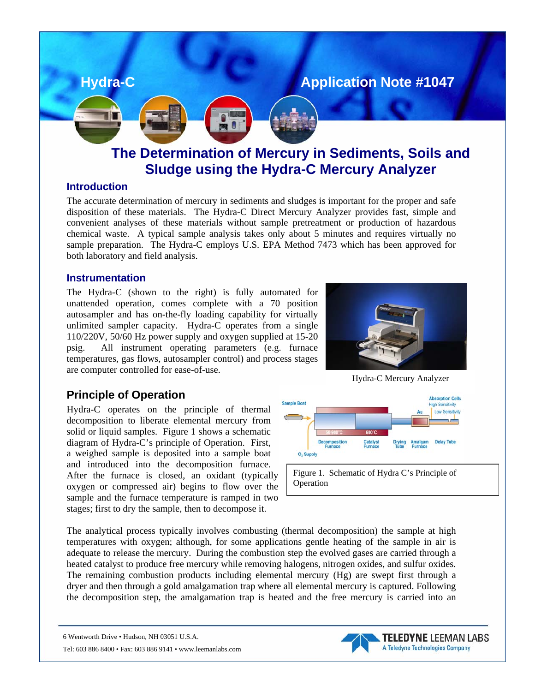

**Sludge using the Hydra-C Mercury Analyzer** 

#### **Introduction**

The accurate determination of mercury in sediments and sludges is important for the proper and safe disposition of these materials. The Hydra-C Direct Mercury Analyzer provides fast, simple and convenient analyses of these materials without sample pretreatment or production of hazardous chemical waste. A typical sample analysis takes only about 5 minutes and requires virtually no sample preparation. The Hydra-C employs U.S. EPA Method 7473 which has been approved for both laboratory and field analysis.

### **Instrumentation**

The Hydra-C (shown to the right) is fully automated for unattended operation, comes complete with a 70 position autosampler and has on-the-fly loading capability for virtually unlimited sampler capacity. Hydra-C operates from a si ngle 110/220V, 50/60 Hz power supply and oxygen supplied at 15-20 psig. All instrument operating parameters (e.g. furnace temperatures, gas flows, autosampler control) and process stages are computer controlled for ease-of-use.



Hydra-C Mercury Analyzer

**TELEDYNE** LEEMAN LABS A Teledyne Technologies Company

# **Principle of Operation**

Hydra-C operates on the principle of thermal solid or liquid samples. Figure 1 shows a schematic diagram of Hydra-C's principle of Operation. First, decomposition to liberate elemental mercury from a weighed sample is deposited into a sample boat and introduced into the decomposition furnace. After the furnace is closed, an oxidant (typically oxygen or compressed air) begins to flow over the sample and the furnace temperature is ramped in two stages; first to dry the sample, then to decompose it.



Figure 1. Schematic of Hydra C's Principle of Operation

The analytical process typically involves combusting (thermal decomposition) the sample at high temperatures with oxygen; although, for some applications gentle heating of the sample in air is adequate to release the mercury. During the combustion step the evolved gases are carried through a heated catalyst to produce free mercury while removing halogens, nitrogen oxides, and sulfur oxides. The remaining combustion products including elemental mercury (Hg) are swept first through a dryer and then through a gold amalgamation trap where all elemental mercury is captured. Following the decomposition step, the amalgamation trap is heated and the free mercury is carried into an

6 Wentworth Drive • Hudson, NH 03051 U.S.A.

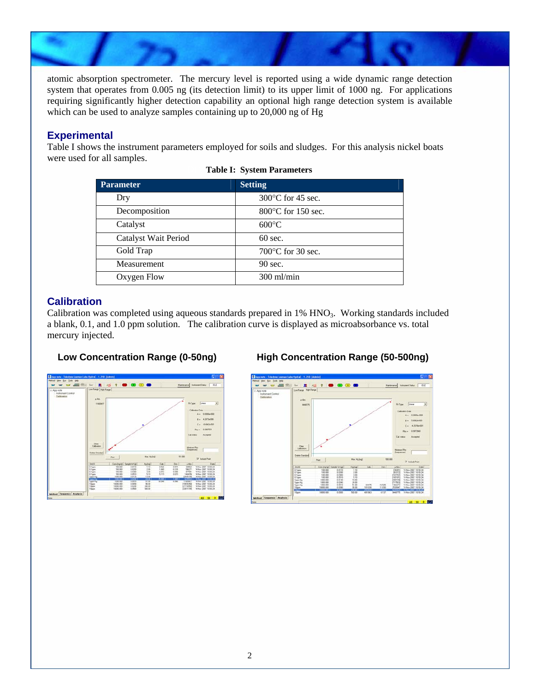atomic absorption spectrometer. The mercury level is reported using a wide dynamic range detection system that operates from 0.005 ng (its detection limit) to its upper limit of 1000 ng. For applications requiring significantly higher detection capability an optional high range detection system is available which can be used to analyze samples containing up to 20,000 ng of Hg

## **Experimental**

Table I shows the instrument parameters employed for soils and sludges. For this analysis nickel boats were used for all samples.

| <b>Parameter</b>     | <b>Setting</b>               |
|----------------------|------------------------------|
| Dry                  | $300^{\circ}$ C for 45 sec.  |
| Decomposition        | $800^{\circ}$ C for 150 sec. |
| Catalyst             | $600^{\circ}$ C              |
| Catalyst Wait Period | $60 \text{ sec.}$            |
| Gold Trap            | 700 $\degree$ C for 30 sec.  |
| Measurement          | 90 sec.                      |
| Oxygen Flow          | $300$ ml/min                 |

#### **Dry Table I: System Parameters**

## **Calibration**

Calibration was completed using aqueous standards prepared in 1% HNO<sub>3</sub>. Working standards included a blank, 0.1, and 1.0 ppm solution. The calibration curve is displayed as microabsorbance vs. total mercury injected.

## **Low Concentration Range (0-50ng) High Concentration Range (50-500ng)**